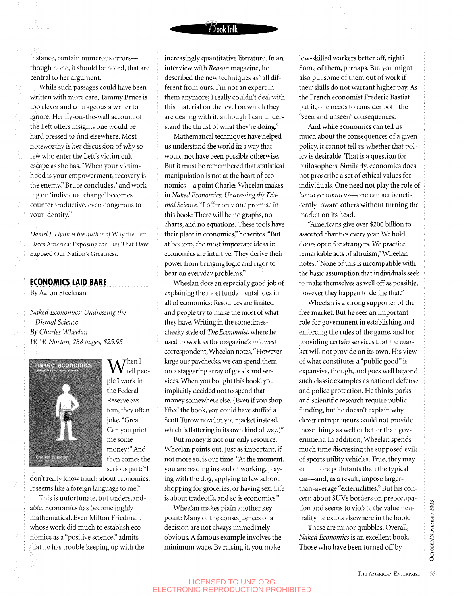While such passages could have been written with more care, Tammy Bruce is too clever and courageous a writer to ignore. Her fly-on-the-wall account of the Left offers insights one would be hard pressed to find elsewhere. Most noteworthy is her discussion of why so few who enter the Left's victim cult escape as she has. "When your victimhood is your empowerment, recovery is the enemy," Bruce concludes, "and working on 'individual change' becomes counterproductive, even dangerous to your identity."

*Daniel]. Flynn is the author of Why* the Left Hates America: Exposing the Lies That Have Exposed Our Nation's Greatness.

## **ECONOMICS LAID BARE**

By Aaron Steelman

*Naked Economics: Undressing the Dismal Science By Charles Wheelan W. W. Norton, 288 pages, \$25.95* 



 $\Lambda$  Then I tell people I work in the Federal Reserve System, they often joke, "Great. Can you print me some money?" And then comes the serious part: "I

don't really know much about economics. It seems like a foreign language to me."

This is unfortunate, but understandable. Economics has become highly mathematical. Even Milton Friedman, whose work did much to establish economics as a "positive science," admits that he has trouble keeping up with the

increasingly quantitative literature. In an interview with *Reason* magazine, he described the new techniques as "all different from ours. I'm not an expert in them anymore; I really couldn't deal with this material on the level on which they are dealing with it, although I can understand the thrust of what they're doing."

**f)ookTalk**

Mathematical techniques have helped us understand the world in a way that would not have been possible otherwise. But it must be remembered that statistical manipulation is not at the heart of economics—a point Charles Wheelan makes in *Naked Economics: Undressing the Dismal Science.* "I offer only one promise in this book: There will be no graphs, no charts, and no equations. These tools have their place in economics," he writes. "But at bottom, the most important ideas in economics are intuitive. They derive their power from bringing logic and rigor to bear on everyday problems."

Wheelan does an especially good job of explaining the most fundamental idea in all of economics: Resources are limited and people try to make the most of what they have. Writing in the sometimescheeky style of *The Economist,* where he used to work as the magazine's midwest correspondent, Wheelan notes, "However large our paychecks, we can spend them on a staggering array of goods and services. When you bought this book, you implicitly decided not to spend that money somewhere else. (Even if you shoplifted the book, you could have stuffed a Scott Turow novel in your jacket instead, which is flattering in its own kind of way.)"

But money is not our only resource, Wheelan points out. Just as important, if not more so, is our time. "At the moment, you are reading instead of working, playing with the dog, applying to law school, shopping for groceries, or having sex. Life is about tradeoffs, and so is economics."

Wheelan makes plain another key point: Many of the consequences of a decision are not always immediately obvious. A famous example involves the minimum wage. By raising it, you make

low-skilled workers better off, right? Some of them, perhaps. But you might also put some of them out of work if their skills do not warrant higher pay. As the French economist Frederic Bastiat put it, one needs to consider both the "seen and unseen" consequences.

And while economics can tell us much about the consequences of a given policy, it cannot tell us whether that policy is desirable. That is a question for philosophers. Similarly, economics does not proscribe a set of ethical values for individuals. One need not play the role of *homo economicus*—one can act beneficently toward others without turning the market on its head.

"Americans give over S200 billion to assorted charities every year. We hold doors open for strangers. We practice remarkable acts of altruism," Wheelan notes. "None of this is incompatible with the basic assumption that individuals seek to make themselves as well off as possible, however they happen to define that."

Wheelan is a strong supporter of the free market. But he sees an important role for government in establishing and enforcing the rules of the game, and for providing certain services that the market will not provide on its own. His view of what constitutes a "public good" is expansive, though, and goes well beyond such classic examples as national defense and police protection. He thinks parks and scientific research require public funding, but he doesn't explain why clever entrepreneurs could not provide those things as well or better than government. In addition, Wheelan spends much time discussing the supposed evils of sports utility vehicles. True, they may emit more pollutants than the typical car—and, as a result, impose largerthan-average "externalities." But his concern about SUVs borders on preoccupation and seems to violate the value neutrality he extols elsewhere in the book.

These are minor quibbles. Overall, *Naked Economics* is an excellent book. Those who have been turned off by